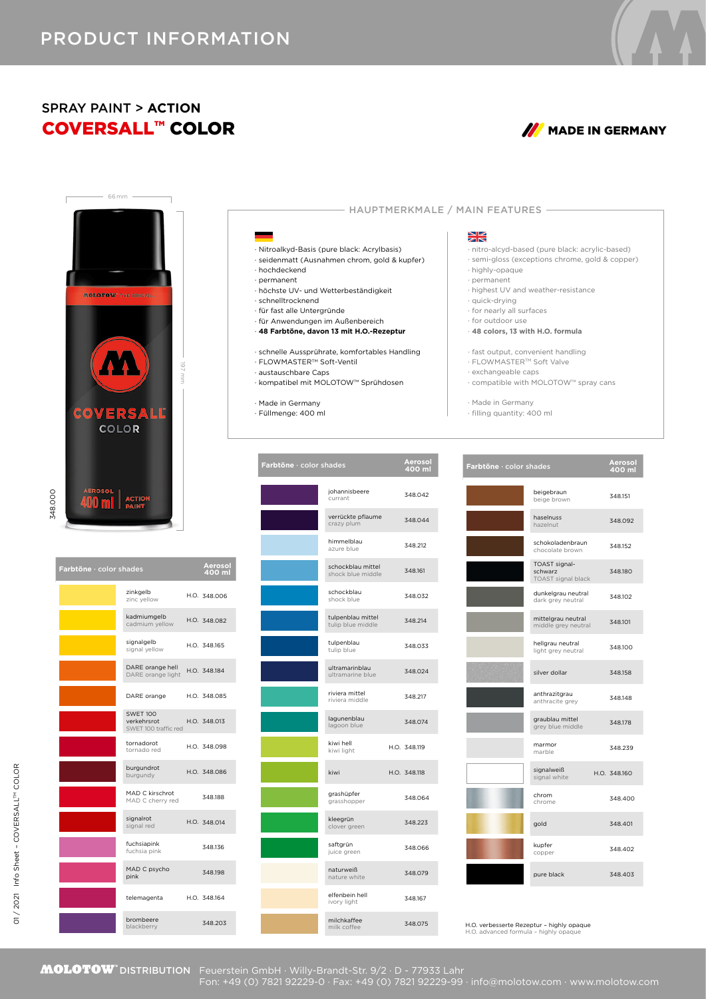## COVERSALL™ COLOR *M* MADE IN GERMANY SPRAY PAINT > **ACTION**





| Farbtöne · color shades |                                                        | Aerosol<br>400 ml |
|-------------------------|--------------------------------------------------------|-------------------|
|                         | zinkgelb<br>zinc yellow                                | H.O. 348,006      |
|                         | kadmiumgelb<br>cadmium yellow                          | H.O. 348.082      |
|                         | signalgelb<br>signal yellow                            | H.O. 348.165      |
|                         | DARE orange hell<br>DARE orange light                  | H.O. 348.184      |
|                         | DARE orange                                            | H.O. 348.085      |
|                         | <b>SWFT 100</b><br>verkehrsrot<br>SWET 100 traffic red | H.O. 348.013      |
|                         | tornadorot<br>tornado red                              | H.O. 348.098      |
|                         | burgundrot<br>burgundy                                 | H.O. 348.086      |
|                         | MAD C kirschrot<br>MAD C cherry red                    | 348.188           |
|                         | signalrot<br>signal red                                | H.O. 348.014      |
|                         | fuchsiapink<br>fuchsia pink                            | 348.136           |
|                         | MAD C psycho<br>pink                                   | 348,198           |
|                         | telemagenta                                            | H.O. 348.164      |
|                         | brombeere<br>blackberry                                | 348.203           |

| Farbtöne · color shades |                                        | Aerosol<br>400 ml |
|-------------------------|----------------------------------------|-------------------|
|                         | johannisbeere<br>currant               | 348.042           |
|                         | verrückte pflaume<br>crazy plum        | 348.044           |
|                         | himmelblau<br>azure blue               | 348.212           |
|                         | schockblau mittel<br>shock blue middle | 348.161           |
|                         | schockblau<br>shock blue               | 348.032           |
|                         | tulpenblau mittel<br>tulip blue middle | 348.214           |
|                         | tulpenblau<br>tulip blue               | 348.033           |
|                         | ultramarinblau<br>ultramarine blue     | 348.024           |
|                         | riviera mittel<br>riviera middle       | 348.217           |
|                         | lagunenblau<br>lagoon blue             | 348.074           |
|                         | kiwi hell<br>kiwi light                | H.O. 348.119      |
|                         | kiwi                                   | H.O. 348.118      |
|                         | grashüpfer<br>grasshopper              | 348.064           |
|                         | kleegrün<br>clover green               | 348.223           |
|                         | saftgrün<br>juice green                | 348,066           |
|                         | naturweiß<br>nature white              | 348.079           |
|                         | elfenbein hell<br>ivory light          | 348.167           |
|                         | milchkaffee<br>milk coffee             | 348.075           |

## ₩

- HAUPTMERKMALE / MAIN FEATURES -

- · nitro-alcyd-based (pure black: acrylic-based)
- · semi-gloss (exceptions chrome, gold & copper)
- · highly-opaque · permanent
	- · highest UV and weather-resistance
	- · quick-drying
- · for nearly all surfaces
- · for outdoor use
- · **48 colors, 13 with H.O. formula**
- · fast output, convenient handling
- · FLOWMASTERTM Soft Valve
- · exchangeable caps
- · compatible with MOLOTOW™ spray cans
- · Made in Germany
- · filling quantity: 400 ml

| Farbtöne · color shades |                                                | Aerosol<br>400 ml |
|-------------------------|------------------------------------------------|-------------------|
|                         | beigebraun<br>beige brown                      | 348.151           |
|                         | haselnuss<br>hazelnut                          | 348.092           |
|                         | schokoladenbraun<br>chocolate brown            | 348.152           |
|                         | TOAST signal-<br>schwarz<br>TOAST signal black | 348,180           |
|                         | dunkelgrau neutral<br>dark grey neutral        | 348.102           |
|                         | mittelgrau neutral<br>middle grey neutral      | 348,101           |
|                         | hellgrau neutral<br>light grey neutral         | 348,100           |
|                         | silver dollar                                  | 348.158           |
|                         | anthrazitgrau<br>anthracite grey               | 348,148           |
|                         | graublau mittel<br>grey blue middle            | 348,178           |
|                         | marmor<br>marble                               | 348.239           |
|                         | signalweiß<br>signal white                     | H.O. 348,160      |
|                         | chrom<br>chrome                                | 348.400           |
|                         | gold                                           | 348.401           |
|                         | kupfer<br>copper                               | 348.402           |
|                         | pure black                                     | 348.403           |

H.O. verbesserte Rezeptur – highly opaque H.O. advanced formula – highly opaque



Fon: +49 (0) 7821 92229-0 · Fax: +49 (0) 7821 92229-99 · info@molotow.com · www.molotow.com